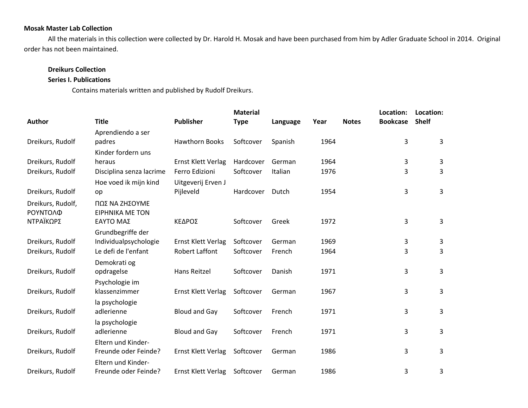## **Mosak Master Lab Collection**

All the materials in this collection were collected by Dr. Harold H. Mosak and have been purchased from him by Adler Graduate School in 2014. Original order has not been maintained.

## **Dreikurs Collection**

## **Series I. Publications**

Contains materials written and published by Rudolf Dreikurs.

|                               |                                          |                           | <b>Material</b> |          |      |              | Location:       | Location:    |  |
|-------------------------------|------------------------------------------|---------------------------|-----------------|----------|------|--------------|-----------------|--------------|--|
| Author                        | <b>Title</b>                             | <b>Publisher</b>          | <b>Type</b>     | Language | Year | <b>Notes</b> | <b>Bookcase</b> | <b>Shelf</b> |  |
|                               | Aprendiendo a ser                        |                           |                 |          |      |              |                 |              |  |
| Dreikurs, Rudolf              | padres                                   | <b>Hawthorn Books</b>     | Softcover       | Spanish  | 1964 |              | 3               | $\mathbf{3}$ |  |
|                               | Kinder fordern uns                       |                           |                 |          |      |              |                 |              |  |
| Dreikurs, Rudolf              | heraus                                   | <b>Ernst Klett Verlag</b> | Hardcover       | German   | 1964 |              | 3               | 3            |  |
| Dreikurs, Rudolf              | Disciplina senza lacrime                 | Ferro Edizioni            | Softcover       | Italian  | 1976 |              | 3               | 3            |  |
|                               | Hoe voed ik mijn kind                    | Uitgeverij Erven J        |                 |          |      |              |                 |              |  |
| Dreikurs, Rudolf              | op                                       | Pijleveld                 | Hardcover       | Dutch    | 1954 |              | 3               | 3            |  |
| Dreikurs, Rudolf,<br>ΡΟΥΝΤΟΛΦ | ΠΩΣ ΝΑ ΖΗΣΟΥΜΕ<br><b>EIPHNIKA ME TON</b> |                           |                 |          |      |              |                 |              |  |
| ΝΤΡΑΪΚΩΡΣ                     | ΕΑΥΤΟ ΜΑΣ                                | ΚΕΔΡΟΣ                    | Softcover       | Greek    | 1972 |              | 3               | 3            |  |
|                               | Grundbegriffe der                        |                           |                 |          |      |              |                 |              |  |
| Dreikurs, Rudolf              | Individualpsychologie                    | <b>Ernst Klett Verlag</b> | Softcover       | German   | 1969 |              | 3               | 3            |  |
| Dreikurs, Rudolf              | Le defi de l'enfant                      | <b>Robert Laffont</b>     | Softcover       | French   | 1964 |              | 3               | 3            |  |
|                               | Demokrati og                             |                           |                 |          |      |              |                 |              |  |
| Dreikurs, Rudolf              | opdragelse                               | Hans Reitzel              | Softcover       | Danish   | 1971 |              | 3               | 3            |  |
|                               | Psychologie im                           |                           |                 |          |      |              |                 |              |  |
| Dreikurs, Rudolf              | klassenzimmer                            | Ernst Klett Verlag        | Softcover       | German   | 1967 |              | 3               | 3            |  |
|                               | la psychologie                           |                           |                 |          |      |              |                 |              |  |
| Dreikurs, Rudolf              | adlerienne                               | <b>Bloud and Gay</b>      | Softcover       | French   | 1971 |              | 3               | 3            |  |
|                               | la psychologie                           |                           |                 |          |      |              |                 |              |  |
| Dreikurs, Rudolf              | adlerienne                               | <b>Bloud and Gay</b>      | Softcover       | French   | 1971 |              | 3               | 3            |  |
|                               | Eltern und Kinder-                       |                           |                 |          |      |              |                 |              |  |
| Dreikurs, Rudolf              | Freunde oder Feinde?                     | Ernst Klett Verlag        | Softcover       | German   | 1986 |              | 3               | 3            |  |
|                               | Eltern und Kinder-                       |                           |                 |          |      |              |                 |              |  |
| Dreikurs, Rudolf              | Freunde oder Feinde?                     | Ernst Klett Verlag        | Softcover       | German   | 1986 |              | 3               | 3            |  |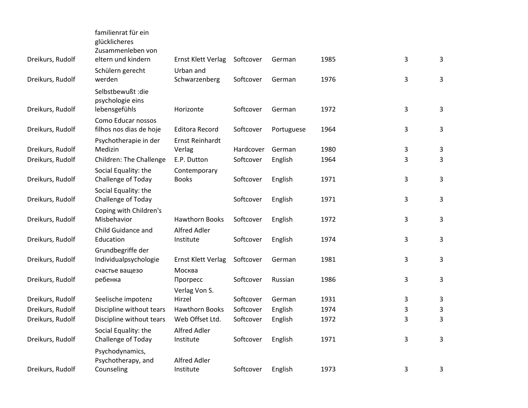| Dreikurs, Rudolf | familienrat für ein<br>glücklicheres<br>Zusammenleben von<br>eltern und kindern | Ernst Klett Verlag                  | Softcover | German     | 1985 | 3 | 3 |
|------------------|---------------------------------------------------------------------------------|-------------------------------------|-----------|------------|------|---|---|
|                  | Schülern gerecht                                                                | Urban and                           |           |            |      |   |   |
| Dreikurs, Rudolf | werden                                                                          | Schwarzenberg                       | Softcover | German     | 1976 | 3 | 3 |
| Dreikurs, Rudolf | Selbstbewußt : die<br>psychologie eins<br>lebensgefühls                         | Horizonte                           | Softcover | German     | 1972 | 3 | 3 |
|                  | Como Educar nossos                                                              |                                     |           |            |      |   |   |
| Dreikurs, Rudolf | filhos nos dias de hoje                                                         | <b>Editora Record</b>               | Softcover | Portuguese | 1964 | 3 | 3 |
|                  | Psychotherapie in der                                                           | Ernst Reinhardt                     |           |            |      |   |   |
| Dreikurs, Rudolf | Medizin                                                                         | Verlag                              | Hardcover | German     | 1980 | 3 | 3 |
| Dreikurs, Rudolf | Children: The Challenge                                                         | E.P. Dutton                         | Softcover | English    | 1964 | 3 | 3 |
| Dreikurs, Rudolf | Social Equality: the<br>Challenge of Today                                      | Contemporary<br><b>Books</b>        | Softcover | English    | 1971 | 3 | 3 |
| Dreikurs, Rudolf | Social Equality: the<br>Challenge of Today                                      |                                     | Softcover | English    | 1971 | 3 | 3 |
| Dreikurs, Rudolf | Coping with Children's<br>Misbehavior                                           | <b>Hawthorn Books</b>               | Softcover | English    | 1972 | 3 | 3 |
| Dreikurs, Rudolf | Child Guidance and<br>Education                                                 | <b>Alfred Adler</b><br>Institute    | Softcover | English    | 1974 | 3 | 3 |
| Dreikurs, Rudolf | Grundbegriffe der<br>Individualpsychologie                                      | Ernst Klett Verlag                  | Softcover | German     | 1981 | 3 | 3 |
| Dreikurs, Rudolf | счастье ващезо<br>ребенка                                                       | Москва<br>Прогресс<br>Verlag Von S. | Softcover | Russian    | 1986 | 3 | 3 |
| Dreikurs, Rudolf | Seelische impotenz                                                              | Hirzel                              | Softcover | German     | 1931 | 3 | 3 |
| Dreikurs, Rudolf | Discipline without tears                                                        | <b>Hawthorn Books</b>               | Softcover | English    | 1974 | 3 | 3 |
| Dreikurs, Rudolf | Discipline without tears                                                        | Web Offset Ltd.                     | Softcover | English    | 1972 | 3 | 3 |
| Dreikurs, Rudolf | Social Equality: the<br>Challenge of Today                                      | Alfred Adler<br>Institute           | Softcover | English    | 1971 | 3 | 3 |
| Dreikurs, Rudolf | Psychodynamics,<br>Psychotherapy, and<br>Counseling                             | <b>Alfred Adler</b><br>Institute    | Softcover | English    | 1973 | 3 | 3 |
|                  |                                                                                 |                                     |           |            |      |   |   |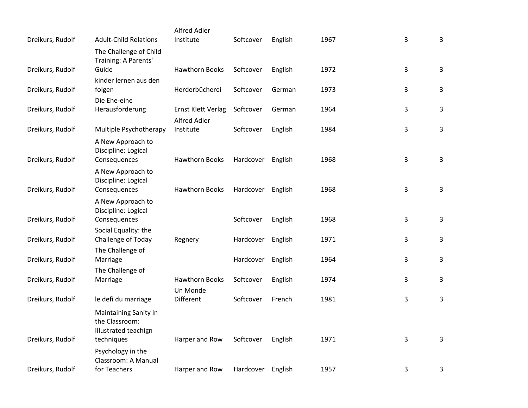|                  |                                          | Alfred Adler          |           |         |      |   |              |
|------------------|------------------------------------------|-----------------------|-----------|---------|------|---|--------------|
| Dreikurs, Rudolf | <b>Adult-Child Relations</b>             | Institute             | Softcover | English | 1967 | 3 | 3            |
|                  | The Challenge of Child                   |                       |           |         |      |   |              |
| Dreikurs, Rudolf | Training: A Parents'<br>Guide            | <b>Hawthorn Books</b> | Softcover | English | 1972 | 3 | $\mathbf{3}$ |
|                  | kinder lernen aus den                    |                       |           |         |      |   |              |
| Dreikurs, Rudolf | folgen                                   | Herderbücherei        | Softcover | German  | 1973 | 3 | 3            |
|                  | Die Ehe-eine                             |                       |           |         |      |   |              |
| Dreikurs, Rudolf | Herausforderung                          | Ernst Klett Verlag    | Softcover | German  | 1964 | 3 | 3            |
|                  |                                          | <b>Alfred Adler</b>   |           |         |      |   |              |
| Dreikurs, Rudolf | Multiple Psychotherapy                   | Institute             | Softcover | English | 1984 | 3 | 3            |
|                  | A New Approach to                        |                       |           |         |      |   |              |
| Dreikurs, Rudolf | Discipline: Logical<br>Consequences      | <b>Hawthorn Books</b> | Hardcover | English | 1968 | 3 | 3            |
|                  |                                          |                       |           |         |      |   |              |
|                  | A New Approach to<br>Discipline: Logical |                       |           |         |      |   |              |
| Dreikurs, Rudolf | Consequences                             | <b>Hawthorn Books</b> | Hardcover | English | 1968 | 3 | 3            |
|                  | A New Approach to                        |                       |           |         |      |   |              |
|                  | Discipline: Logical                      |                       |           |         |      |   |              |
| Dreikurs, Rudolf | Consequences                             |                       | Softcover | English | 1968 | 3 | 3            |
|                  | Social Equality: the                     |                       |           |         |      |   |              |
| Dreikurs, Rudolf | Challenge of Today                       | Regnery               | Hardcover | English | 1971 | 3 | 3            |
|                  | The Challenge of                         |                       |           |         | 1964 | 3 | 3            |
| Dreikurs, Rudolf | Marriage<br>The Challenge of             |                       | Hardcover | English |      |   |              |
| Dreikurs, Rudolf | Marriage                                 | <b>Hawthorn Books</b> | Softcover | English | 1974 | 3 | 3            |
|                  |                                          | Un Monde              |           |         |      |   |              |
| Dreikurs, Rudolf | le defi du marriage                      | Different             | Softcover | French  | 1981 | 3 | 3            |
|                  | Maintaining Sanity in                    |                       |           |         |      |   |              |
|                  | the Classroom:                           |                       |           |         |      |   |              |
|                  | Illustrated teachign                     |                       |           |         |      |   |              |
| Dreikurs, Rudolf | techniques                               | Harper and Row        | Softcover | English | 1971 | 3 | 3            |
|                  | Psychology in the                        |                       |           |         |      |   |              |
|                  | Classroom: A Manual<br>for Teachers      |                       |           |         | 1957 | 3 |              |
| Dreikurs, Rudolf |                                          | Harper and Row        | Hardcover | English |      |   | 3            |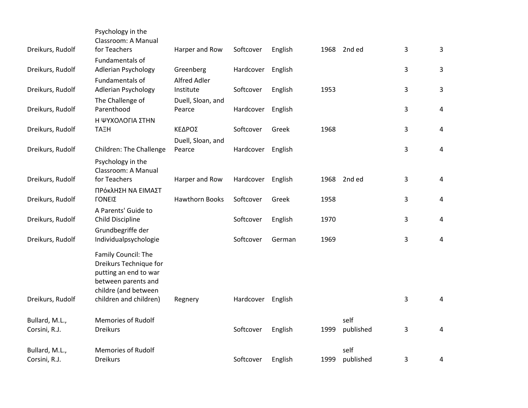| Dreikurs, Rudolf | Psychology in the<br>Classroom: A Manual<br>for Teachers                                                              | Harper and Row              | Softcover | English | 1968 | 2nd ed    | 3 | 3              |
|------------------|-----------------------------------------------------------------------------------------------------------------------|-----------------------------|-----------|---------|------|-----------|---|----------------|
|                  | Fundamentals of                                                                                                       |                             |           |         |      |           |   |                |
| Dreikurs, Rudolf | <b>Adlerian Psychology</b>                                                                                            | Greenberg                   | Hardcover | English |      |           | 3 | $\mathbf{3}$   |
| Dreikurs, Rudolf | Fundamentals of<br>Adlerian Psychology                                                                                | Alfred Adler<br>Institute   | Softcover | English | 1953 |           | 3 | 3              |
|                  | The Challenge of                                                                                                      | Duell, Sloan, and           |           |         |      |           |   |                |
| Dreikurs, Rudolf | Parenthood                                                                                                            | Pearce                      | Hardcover | English |      |           | 3 | 4              |
|                  | Η ΨΥΧΟΛΟΓΙΑ ΣΤΗΝ                                                                                                      |                             |           |         |      |           |   |                |
| Dreikurs, Rudolf | <b>TAEH</b>                                                                                                           | ΚΕΔΡΟΣ                      | Softcover | Greek   | 1968 |           | 3 | $\overline{a}$ |
| Dreikurs, Rudolf | Children: The Challenge                                                                                               | Duell, Sloan, and<br>Pearce | Hardcover | English |      |           | 3 | $\overline{4}$ |
|                  | Psychology in the<br>Classroom: A Manual                                                                              |                             |           |         |      |           |   |                |
| Dreikurs, Rudolf | for Teachers                                                                                                          | Harper and Row              | Hardcover | English | 1968 | 2nd ed    | 3 | 4              |
|                  | ΠΡόκλΗΣΗ ΝΑ ΕΙΜΑΣΤ                                                                                                    |                             |           |         |      |           |   |                |
| Dreikurs, Rudolf | ΓΟΝΕΙΣ                                                                                                                | <b>Hawthorn Books</b>       | Softcover | Greek   | 1958 |           | 3 | 4              |
| Dreikurs, Rudolf | A Parents' Guide to<br>Child Discipline                                                                               |                             | Softcover | English | 1970 |           | 3 | 4              |
| Dreikurs, Rudolf | Grundbegriffe der<br>Individualpsychologie                                                                            |                             | Softcover | German  | 1969 |           | 3 | $\overline{4}$ |
|                  | Family Council: The<br>Dreikurs Technique for<br>putting an end to war<br>between parents and<br>childre (and between |                             |           |         |      |           |   |                |
| Dreikurs, Rudolf | children and children)                                                                                                | Regnery                     | Hardcover | English |      |           | 3 | 4              |
| Bullard, M.L.,   | <b>Memories of Rudolf</b>                                                                                             |                             |           |         |      | self      |   |                |
| Corsini, R.J.    | <b>Dreikurs</b>                                                                                                       |                             | Softcover | English | 1999 | published | 3 | 4              |
| Bullard, M.L.,   | <b>Memories of Rudolf</b>                                                                                             |                             |           |         |      | self      |   |                |
| Corsini, R.J.    | <b>Dreikurs</b>                                                                                                       |                             | Softcover | English | 1999 | published | 3 | 4              |